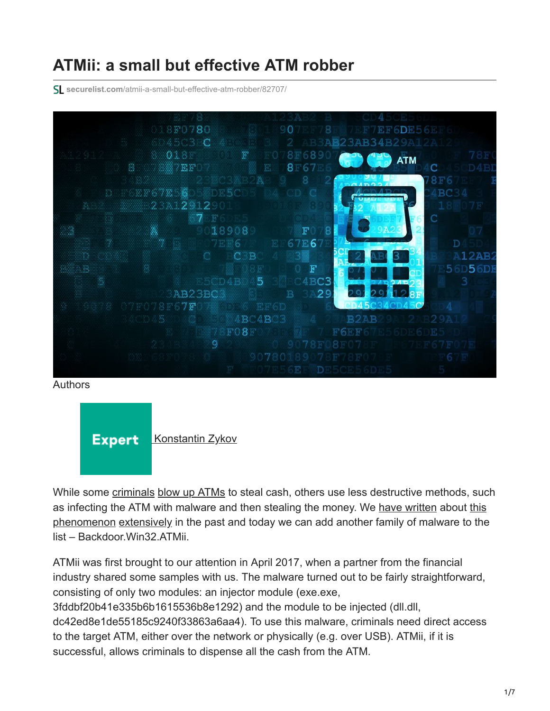# **ATMii: a small but effective ATM robber**

**securelist.com**[/atmii-a-small-but-effective-atm-robber/82707/](https://securelist.com/atmii-a-small-but-effective-atm-robber/82707/)



Authors



While some [criminals](https://www.schneier.com/blog/archives/2006/03/blowing_up_atm.html) [blow up ATMs](http://www.mirror.co.uk/news/uk-news/atm-gang-who-stole-120000-9494804) to steal cash, others use less destructive methods, such [as infecting the ATM with malware and then stealing the money. We h](https://www.kaspersky.com/blog/atm-attack-3/15161/)[ave written](https://usa.kaspersky.com/about/press-releases/2016_atm-is-a-new-skimmer-crooks-bring-atms-on-their-side) [about this](https://www.kaspersky.com/blog/atm-attack-3/15161/) phenomenon [extensively](https://securelist.com/malware-and-non-malware-ways-for-atm-jackpotting-extended-cut/74533/) in the past and today we can add another family of malware to the list – Backdoor.Win32.ATMii.

ATMii was first brought to our attention in April 2017, when a partner from the financial industry shared some samples with us. The malware turned out to be fairly straightforward, consisting of only two modules: an injector module (exe.exe, 3fddbf20b41e335b6b1615536b8e1292) and the module to be injected (dll.dll, dc42ed8e1de55185c9240f33863a6aa4). To use this malware, criminals need direct access to the target ATM, either over the network or physically (e.g. over USB). ATMii, if it is successful, allows criminals to dispense all the cash from the ATM.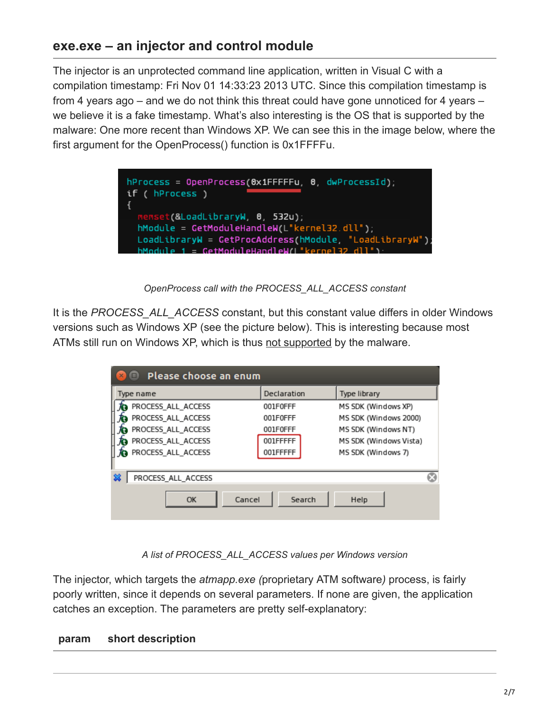## **exe.exe – an injector and control module**

The injector is an unprotected command line application, written in Visual C with a compilation timestamp: Fri Nov 01 14:33:23 2013 UTC. Since this compilation timestamp is from 4 years ago – and we do not think this threat could have gone unnoticed for 4 years – we believe it is a fake timestamp. What's also interesting is the OS that is supported by the malware: One more recent than Windows XP. We can see this in the image below, where the first argument for the OpenProcess() function is 0x1FFFFu.

| $h$ Process = OpenProcess(0x1FFFFFu, 0, dwProcessId);<br>if (hProcess )                                                                                                                                |  |
|--------------------------------------------------------------------------------------------------------------------------------------------------------------------------------------------------------|--|
| memset(&LoadLibraryW, 0, 532u);<br>$h$ Module = GetModuleHandleW(L" $k$ ernel32.dll");<br>LoadLibraryW = GetProcAddress(hModule, "LoadLibraryW");<br>$h$ Module 1 = CetModuleHandleW(I "kernel32 dll") |  |

*OpenProcess call with the PROCESS\_ALL\_ACCESS constant*

It is the *PROCESS\_ALL\_ACCESS* constant, but this constant value differs in older Windows versions such as Windows XP (see the picture below). This is interesting because most ATMs still run on Windows XP, which is thus [not supported](https://social.msdn.microsoft.com/Forums/windowsdesktop/en-US/eeb93be6-872c-4028-b0ae-cd873e089825/openprocess-error-in-windows-xp?forum=vclanguage) by the malware.

| Please choose an enum<br><b>TEL</b><br>$\times$ |             |                        |  |  |
|-------------------------------------------------|-------------|------------------------|--|--|
| Type name                                       | Declaration | Type library           |  |  |
| PROCESS_ALL_ACCESS                              | 001F0FFF    | MS SDK (Windows XP)    |  |  |
| PROCESS_ALL_ACCESS                              | 001F0FFF    | MS SDK (Windows 2000)  |  |  |
| PROCESS_ALL_ACCESS                              | 001F0FFF    | MS SDK (Windows NT)    |  |  |
| PROCESS_ALL_ACCESS                              | 001FFFFF    | MS SDK (Windows Vista) |  |  |
| PROCESS_ALL_ACCESS                              | 001FFFFF    | MS SDK (Windows 7)     |  |  |
| ▩<br>PROCESS ALL ACCESS                         |             |                        |  |  |
| Cancel<br>OK                                    | Search      | Help                   |  |  |

*A list of PROCESS\_ALL\_ACCESS values per Windows version*

The injector, which targets the *atmapp.exe (*proprietary ATM software*)* process, is fairly poorly written, since it depends on several parameters. If none are given, the application catches an exception. The parameters are pretty self-explanatory:

#### **param short description**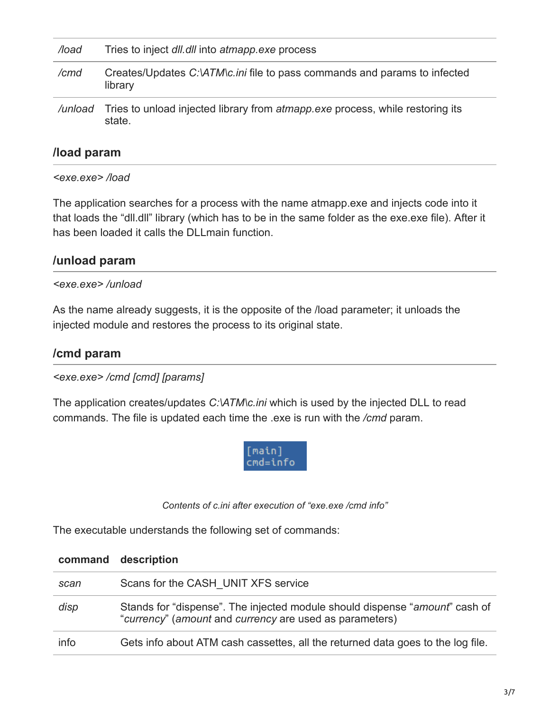| /load   | Tries to inject dll.dll into atmapp.exe process                                                |
|---------|------------------------------------------------------------------------------------------------|
| /cmd    | Creates/Updates C:\ATM\c.ini file to pass commands and params to infected<br>library           |
| /unload | Tries to unload injected library from <i>atmapp.exe</i> process, while restoring its<br>state. |

## **/load param**

*<exe.exe> /load*

The application searches for a process with the name atmapp.exe and injects code into it that loads the "dll.dll" library (which has to be in the same folder as the exe.exe file). After it has been loaded it calls the DLLmain function.

## **/unload param**

### *<exe.exe> /unload*

As the name already suggests, it is the opposite of the /load parameter; it unloads the injected module and restores the process to its original state.

### **/cmd param**

*<exe.exe> /cmd [cmd] [params]*

The application creates/updates *C:\ATM\c.ini* which is used by the injected DLL to read commands. The file is updated each time the .exe is run with the */cmd* param.



*Contents of c.ini after execution of "exe.exe /cmd info"*

The executable understands the following set of commands:

|      | command description                                                                                                                    |
|------|----------------------------------------------------------------------------------------------------------------------------------------|
| scan | Scans for the CASH UNIT XFS service                                                                                                    |
| disp | Stands for "dispense". The injected module should dispense "amount" cash of<br>"currency" (amount and currency are used as parameters) |
| info | Gets info about ATM cash cassettes, all the returned data goes to the log file.                                                        |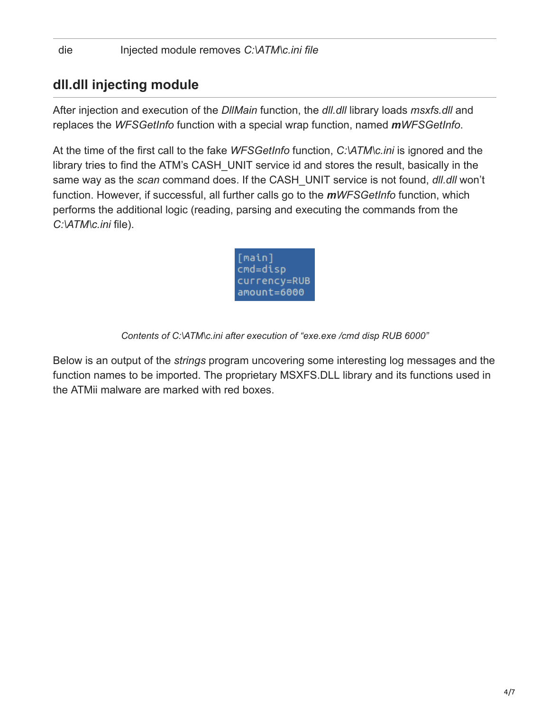## **dll.dll injecting module**

After injection and execution of the *DllMain* function, the *dll.dll* library loads *msxfs.dll* and replaces the *WFSGetInfo* function with a special wrap function, named *mWFSGetInfo*.

At the time of the first call to the fake *WFSGetInfo* function, *C:\ATM\c.ini* is ignored and the library tries to find the ATM's CASH\_UNIT service id and stores the result, basically in the same way as the *scan* command does. If the CASH\_UNIT service is not found, *dll.dll* won't function. However, if successful, all further calls go to the *mWFSGetInfo* function, which performs the additional logic (reading, parsing and executing the commands from the *C:\ATM\c.ini* file).



*Contents of C:\ATM\c.ini after execution of "exe.exe /cmd disp RUB 6000"*

Below is an output of the *strings* program uncovering some interesting log messages and the function names to be imported. The proprietary MSXFS.DLL library and its functions used in the ATMii malware are marked with red boxes.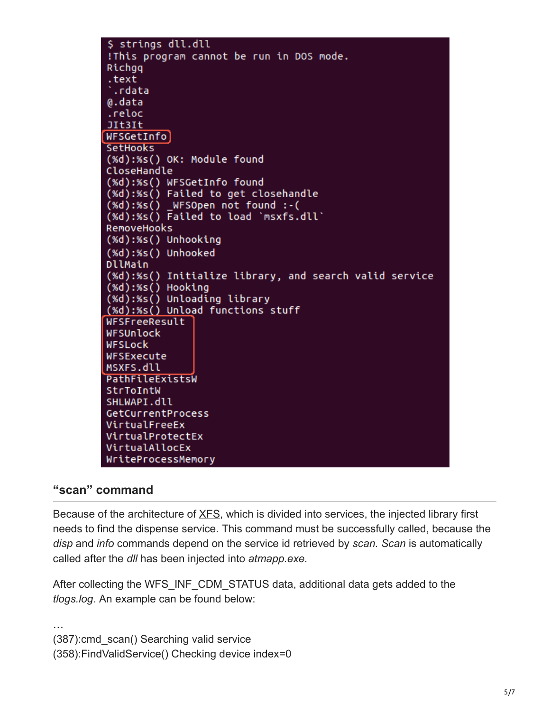\$ strings dll.dll !This program cannot be run in DOS mode. Richgq .text .rdata @.data .reloc JIt3It WFSGetInfo] **SetHooks** (%d):%s() OK: Module found CloseHandle (%d):%s() WFSGetInfo found (%d):%s() Failed to get closehandle  $(xd):xs()$  \_WFSOpen not found :-( (%d):%s() Failed to load `msxfs.dll` RemoveHooks (%d):%s() Unhooking (%d):%s() Unhooked DllMain (%d):%s() Initialize library, and search valid service (%d):%s() Hooking<br>(%d):%s() Unloading library (%d):%s() Unload functions stuff WFSFreeResult WFSUnlock **WFSLock** WFSExecute MSXFS.dll PathFileExistsW StrToIntW SHLWAPI.dll GetCurrentProcess VirtualFreeEx VirtualProtectEx VirtualAllocEx WriteProcessMemory

### **"scan" command**

Because of the architecture of [XFS](https://en.wikipedia.org/wiki/CEN/XFS), which is divided into services, the injected library first needs to find the dispense service. This command must be successfully called, because the *disp* and *info* commands depend on the service id retrieved by *scan. Scan* is automatically called after the *dll* has been injected into *atmapp.exe.*

After collecting the WFS INF CDM STATUS data, additional data gets added to the *tlogs.log*. An example can be found below:

… (387):cmd\_scan() Searching valid service (358):FindValidService() Checking device index=0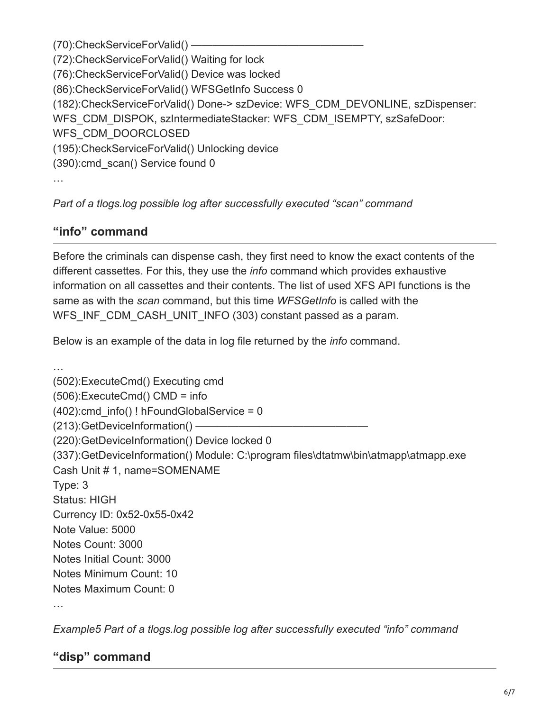(70): CheckServiceForValid() — (72):CheckServiceForValid() Waiting for lock (76):CheckServiceForValid() Device was locked (86):CheckServiceForValid() WFSGetInfo Success 0 (182):CheckServiceForValid() Done-> szDevice: WFS\_CDM\_DEVONLINE, szDispenser: WFS\_CDM\_DISPOK, szIntermediateStacker: WFS\_CDM\_ISEMPTY, szSafeDoor: WFS\_CDM\_DOORCLOSED (195):CheckServiceForValid() Unlocking device (390):cmd\_scan() Service found 0 …

*Part of a tlogs.log possible log after successfully executed "scan" command*

## **"info" command**

Before the criminals can dispense cash, they first need to know the exact contents of the different cassettes. For this, they use the *info* command which provides exhaustive information on all cassettes and their contents. The list of used XFS API functions is the same as with the *scan* command, but this time *WFSGetInfo* is called with the WFS INF CDM CASH UNIT INFO (303) constant passed as a param.

Below is an example of the data in log file returned by the *info* command.

… (502):ExecuteCmd() Executing cmd (506):ExecuteCmd() CMD = info  $(402)$ :cmd info() ! hFoundGlobalService = 0 (213):GetDeviceInformation() —— (220):GetDeviceInformation() Device locked 0 (337):GetDeviceInformation() Module: C:\program files\dtatmw\bin\atmapp\atmapp.exe Cash Unit # 1, name=SOMENAME Type: 3 Status: HIGH Currency ID: 0x52-0x55-0x42 Note Value: 5000 Notes Count: 3000 Notes Initial Count: 3000 Notes Minimum Count: 10 Notes Maximum Count: 0

*Example5 Part of a tlogs.log possible log after successfully executed "info" command*

## **"disp" command**

…